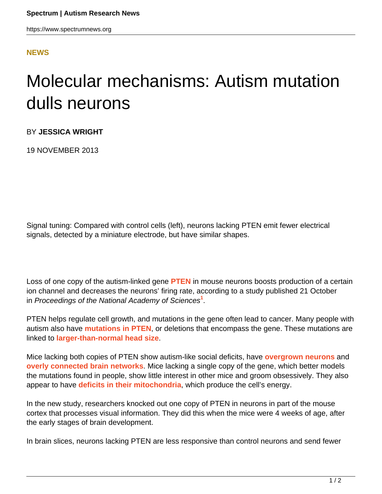## **[NEWS](HTTPS://WWW.SPECTRUMNEWS.ORG/NEWS/)**

## Molecular mechanisms: Autism mutation dulls neurons

BY **JESSICA WRIGHT**

19 NOVEMBER 2013

Signal tuning: Compared with control cells (left), neurons lacking PTEN emit fewer electrical signals, detected by a miniature electrode, but have similar shapes.

Loss of one copy of the autism-linked gene **[PTEN](https://gene.sfari.org/GeneDetail/PTEN#HG)** in mouse neurons boosts production of a certain ion channel and decreases the neurons' firing rate, according to a study published 21 October in Proceedings of the National Academy of Sciences**<sup>1</sup>** .

PTEN helps regulate cell growth, and mutations in the gene often lead to cancer. Many people with autism also have **[mutations in PTEN](https://www.spectrumnews.org/news/2008/autism-and-cancer-share-genetic-roots-researchers-find)**, or deletions that encompass the gene. These mutations are linked to **[larger-than-normal head size](https://www.spectrumnews.org/wiki/macrocephaly)**.

Mice lacking both copies of PTEN show autism-like social deficits, have **[overgrown neurons](https://www.spectrumnews.org/news/2012/autism-gene-pten-plays-vital-role-in-neural-stem-cells)** and **[overly connected brain networks](https://www.spectrumnews.org/in-brief/2012/molecular-mechanisms-autism-gene-modulates-connectivity)**. Mice lacking a single copy of the gene, which better models the mutations found in people, show little interest in other mice and groom obsessively. They also appear to have **[deficits in their mitochondria](https://www.spectrumnews.org/news/2012/mouse-model-links-autism-risk-gene-to-mitochondria)**, which produce the cell's energy.

In the new study, researchers knocked out one copy of PTEN in neurons in part of the mouse cortex that processes visual information. They did this when the mice were 4 weeks of age, after the early stages of brain development.

In brain slices, neurons lacking PTEN are less responsive than control neurons and send fewer